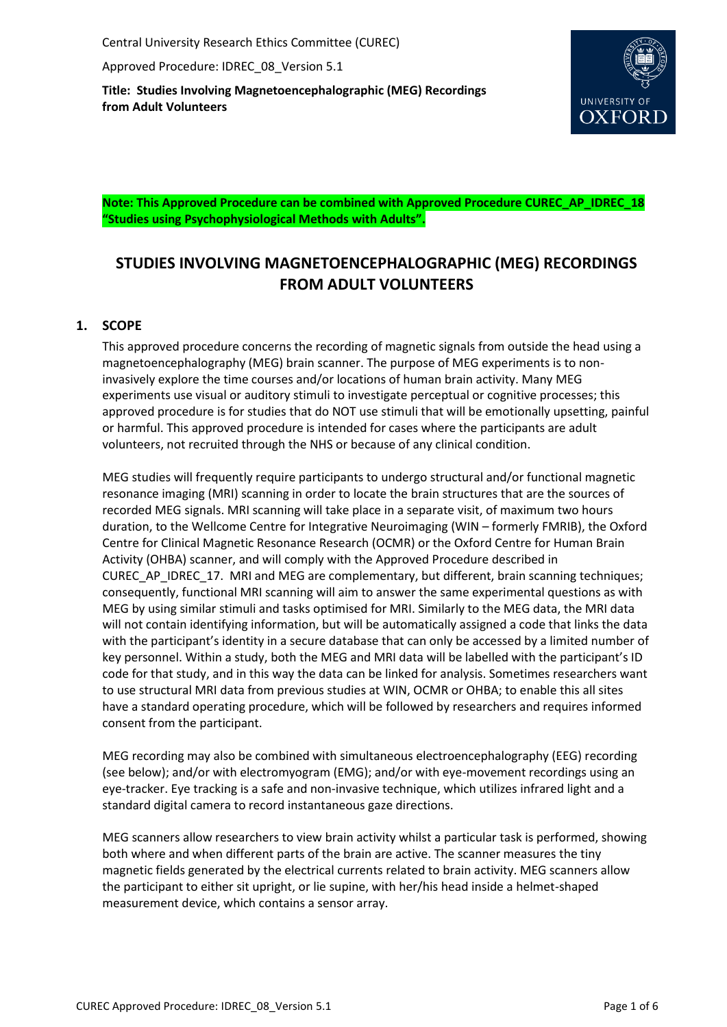Central University Research Ethics Committee (CUREC)

Approved Procedure: IDREC\_08\_Version 5.1

**Title: Studies Involving Magnetoencephalographic (MEG) Recordings from Adult Volunteers**



**Note: This Approved Procedure can be combined with Approved Procedure CUREC\_AP\_IDREC\_18 "Studies using Psychophysiological Methods with Adults".**

# **STUDIES INVOLVING MAGNETOENCEPHALOGRAPHIC (MEG) RECORDINGS FROM ADULT VOLUNTEERS**

# **1. SCOPE**

This approved procedure concerns the recording of magnetic signals from outside the head using a magnetoencephalography (MEG) brain scanner. The purpose of MEG experiments is to noninvasively explore the time courses and/or locations of human brain activity. Many MEG experiments use visual or auditory stimuli to investigate perceptual or cognitive processes; this approved procedure is for studies that do NOT use stimuli that will be emotionally upsetting, painful or harmful. This approved procedure is intended for cases where the participants are adult volunteers, not recruited through the NHS or because of any clinical condition.

MEG studies will frequently require participants to undergo structural and/or functional magnetic resonance imaging (MRI) scanning in order to locate the brain structures that are the sources of recorded MEG signals. MRI scanning will take place in a separate visit, of maximum two hours duration, to the Wellcome Centre for Integrative Neuroimaging (WIN – formerly FMRIB), the Oxford Centre for Clinical Magnetic Resonance Research (OCMR) or the Oxford Centre for Human Brain Activity (OHBA) scanner, and will comply with the Approved Procedure described in CUREC\_AP\_IDREC\_17. MRI and MEG are complementary, but different, brain scanning techniques; consequently, functional MRI scanning will aim to answer the same experimental questions as with MEG by using similar stimuli and tasks optimised for MRI. Similarly to the MEG data, the MRI data will not contain identifying information, but will be automatically assigned a code that links the data with the participant's identity in a secure database that can only be accessed by a limited number of key personnel. Within a study, both the MEG and MRI data will be labelled with the participant's ID code for that study, and in this way the data can be linked for analysis. Sometimes researchers want to use structural MRI data from previous studies at WIN, OCMR or OHBA; to enable this all sites have a standard operating procedure, which will be followed by researchers and requires informed consent from the participant.

MEG recording may also be combined with simultaneous electroencephalography (EEG) recording (see below); and/or with electromyogram (EMG); and/or with eye-movement recordings using an eye-tracker. Eye tracking is a safe and non-invasive technique, which utilizes infrared light and a standard digital camera to record instantaneous gaze directions.

MEG scanners allow researchers to view brain activity whilst a particular task is performed, showing both where and when different parts of the brain are active. The scanner measures the tiny magnetic fields generated by the electrical currents related to brain activity. MEG scanners allow the participant to either sit upright, or lie supine, with her/his head inside a helmet-shaped measurement device, which contains a sensor array.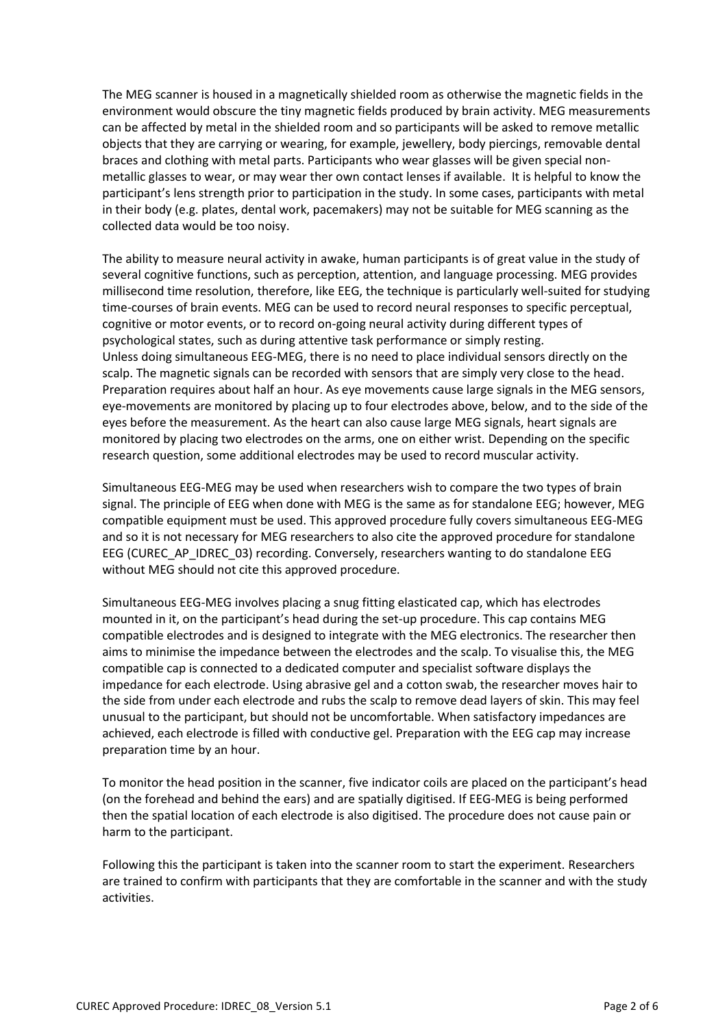The MEG scanner is housed in a magnetically shielded room as otherwise the magnetic fields in the environment would obscure the tiny magnetic fields produced by brain activity. MEG measurements can be affected by metal in the shielded room and so participants will be asked to remove metallic objects that they are carrying or wearing, for example, jewellery, body piercings, removable dental braces and clothing with metal parts. Participants who wear glasses will be given special nonmetallic glasses to wear, or may wear ther own contact lenses if available. It is helpful to know the participant's lens strength prior to participation in the study. In some cases, participants with metal in their body (e.g. plates, dental work, pacemakers) may not be suitable for MEG scanning as the collected data would be too noisy.

The ability to measure neural activity in awake, human participants is of great value in the study of several cognitive functions, such as perception, attention, and language processing. MEG provides millisecond time resolution, therefore, like EEG, the technique is particularly well-suited for studying time-courses of brain events. MEG can be used to record neural responses to specific perceptual, cognitive or motor events, or to record on-going neural activity during different types of psychological states, such as during attentive task performance or simply resting. Unless doing simultaneous EEG-MEG, there is no need to place individual sensors directly on the scalp. The magnetic signals can be recorded with sensors that are simply very close to the head. Preparation requires about half an hour. As eye movements cause large signals in the MEG sensors, eye-movements are monitored by placing up to four electrodes above, below, and to the side of the eyes before the measurement. As the heart can also cause large MEG signals, heart signals are monitored by placing two electrodes on the arms, one on either wrist. Depending on the specific research question, some additional electrodes may be used to record muscular activity.

Simultaneous EEG-MEG may be used when researchers wish to compare the two types of brain signal. The principle of EEG when done with MEG is the same as for standalone EEG; however, MEG compatible equipment must be used. This approved procedure fully covers simultaneous EEG-MEG and so it is not necessary for MEG researchers to also cite the approved procedure for standalone EEG (CUREC\_AP\_IDREC\_03) recording. Conversely, researchers wanting to do standalone EEG without MEG should not cite this approved procedure.

Simultaneous EEG-MEG involves placing a snug fitting elasticated cap, which has electrodes mounted in it, on the participant's head during the set-up procedure. This cap contains MEG compatible electrodes and is designed to integrate with the MEG electronics. The researcher then aims to minimise the impedance between the electrodes and the scalp. To visualise this, the MEG compatible cap is connected to a dedicated computer and specialist software displays the impedance for each electrode. Using abrasive gel and a cotton swab, the researcher moves hair to the side from under each electrode and rubs the scalp to remove dead layers of skin. This may feel unusual to the participant, but should not be uncomfortable. When satisfactory impedances are achieved, each electrode is filled with conductive gel. Preparation with the EEG cap may increase preparation time by an hour.

To monitor the head position in the scanner, five indicator coils are placed on the participant's head (on the forehead and behind the ears) and are spatially digitised. If EEG-MEG is being performed then the spatial location of each electrode is also digitised. The procedure does not cause pain or harm to the participant.

Following this the participant is taken into the scanner room to start the experiment. Researchers are trained to confirm with participants that they are comfortable in the scanner and with the study activities.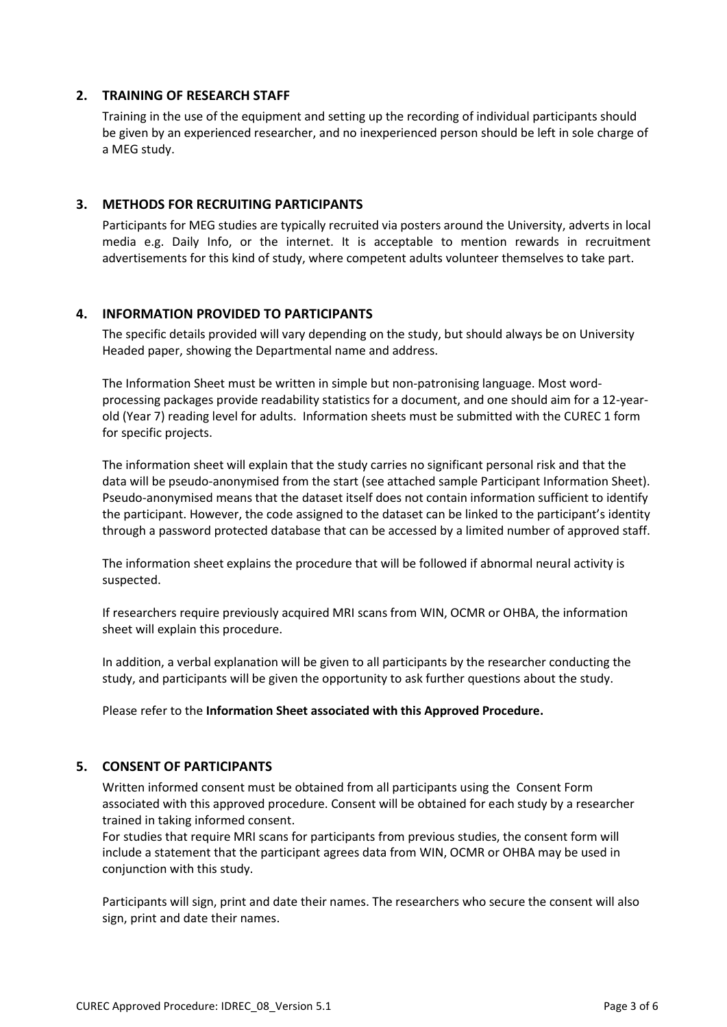## **2. TRAINING OF RESEARCH STAFF**

Training in the use of the equipment and setting up the recording of individual participants should be given by an experienced researcher, and no inexperienced person should be left in sole charge of a MEG study.

## **3. METHODS FOR RECRUITING PARTICIPANTS**

Participants for MEG studies are typically recruited via posters around the University, adverts in local media e.g. Daily Info, or the internet. It is acceptable to mention rewards in recruitment advertisements for this kind of study, where competent adults volunteer themselves to take part.

## **4. INFORMATION PROVIDED TO PARTICIPANTS**

The specific details provided will vary depending on the study, but should always be on University Headed paper, showing the Departmental name and address.

The Information Sheet must be written in simple but non-patronising language. Most wordprocessing packages provide readability statistics for a document, and one should aim for a 12-yearold (Year 7) reading level for adults. Information sheets must be submitted with the CUREC 1 form for specific projects.

The information sheet will explain that the study carries no significant personal risk and that the data will be pseudo-anonymised from the start (see attached sample Participant Information Sheet). Pseudo-anonymised means that the dataset itself does not contain information sufficient to identify the participant. However, the code assigned to the dataset can be linked to the participant's identity through a password protected database that can be accessed by a limited number of approved staff.

The information sheet explains the procedure that will be followed if abnormal neural activity is suspected.

If researchers require previously acquired MRI scans from WIN, OCMR or OHBA, the information sheet will explain this procedure.

In addition, a verbal explanation will be given to all participants by the researcher conducting the study, and participants will be given the opportunity to ask further questions about the study.

Please refer to the **Information Sheet associated with this Approved Procedure.**

# **5. CONSENT OF PARTICIPANTS**

Written informed consent must be obtained from all participants using the Consent Form associated with this approved procedure. Consent will be obtained for each study by a researcher trained in taking informed consent.

For studies that require MRI scans for participants from previous studies, the consent form will include a statement that the participant agrees data from WIN, OCMR or OHBA may be used in conjunction with this study.

Participants will sign, print and date their names. The researchers who secure the consent will also sign, print and date their names.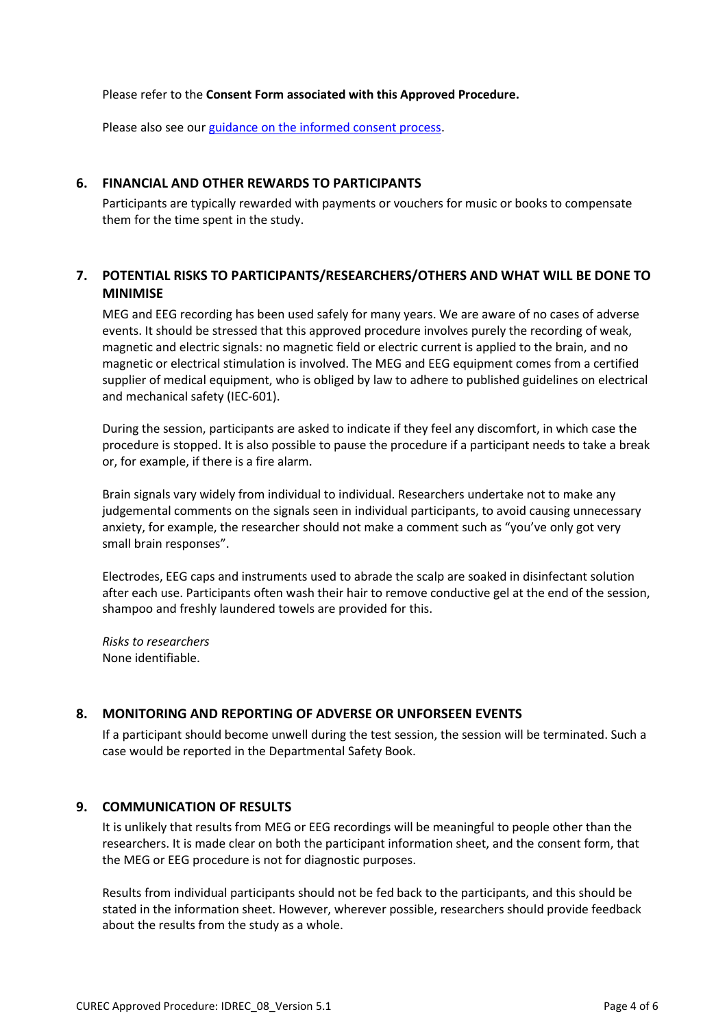Please refer to the **Consent Form associated with this Approved Procedure.**

Please also see our [guidance on the informed consent process.](http://researchsupport.admin.ox.ac.uk/governance/ethics/resources/consent)

### **6. FINANCIAL AND OTHER REWARDS TO PARTICIPANTS**

Participants are typically rewarded with payments or vouchers for music or books to compensate them for the time spent in the study.

# **7. POTENTIAL RISKS TO PARTICIPANTS/RESEARCHERS/OTHERS AND WHAT WILL BE DONE TO MINIMISE**

MEG and EEG recording has been used safely for many years. We are aware of no cases of adverse events. It should be stressed that this approved procedure involves purely the recording of weak, magnetic and electric signals: no magnetic field or electric current is applied to the brain, and no magnetic or electrical stimulation is involved. The MEG and EEG equipment comes from a certified supplier of medical equipment, who is obliged by law to adhere to published guidelines on electrical and mechanical safety (IEC-601).

During the session, participants are asked to indicate if they feel any discomfort, in which case the procedure is stopped. It is also possible to pause the procedure if a participant needs to take a break or, for example, if there is a fire alarm.

Brain signals vary widely from individual to individual. Researchers undertake not to make any judgemental comments on the signals seen in individual participants, to avoid causing unnecessary anxiety, for example, the researcher should not make a comment such as "you've only got very small brain responses".

Electrodes, EEG caps and instruments used to abrade the scalp are soaked in disinfectant solution after each use. Participants often wash their hair to remove conductive gel at the end of the session, shampoo and freshly laundered towels are provided for this.

*Risks to researchers* None identifiable.

# **8. MONITORING AND REPORTING OF ADVERSE OR UNFORSEEN EVENTS**

If a participant should become unwell during the test session, the session will be terminated. Such a case would be reported in the Departmental Safety Book.

#### **9. COMMUNICATION OF RESULTS**

It is unlikely that results from MEG or EEG recordings will be meaningful to people other than the researchers. It is made clear on both the participant information sheet, and the consent form, that the MEG or EEG procedure is not for diagnostic purposes.

Results from individual participants should not be fed back to the participants, and this should be stated in the information sheet. However, wherever possible, researchers should provide feedback about the results from the study as a whole.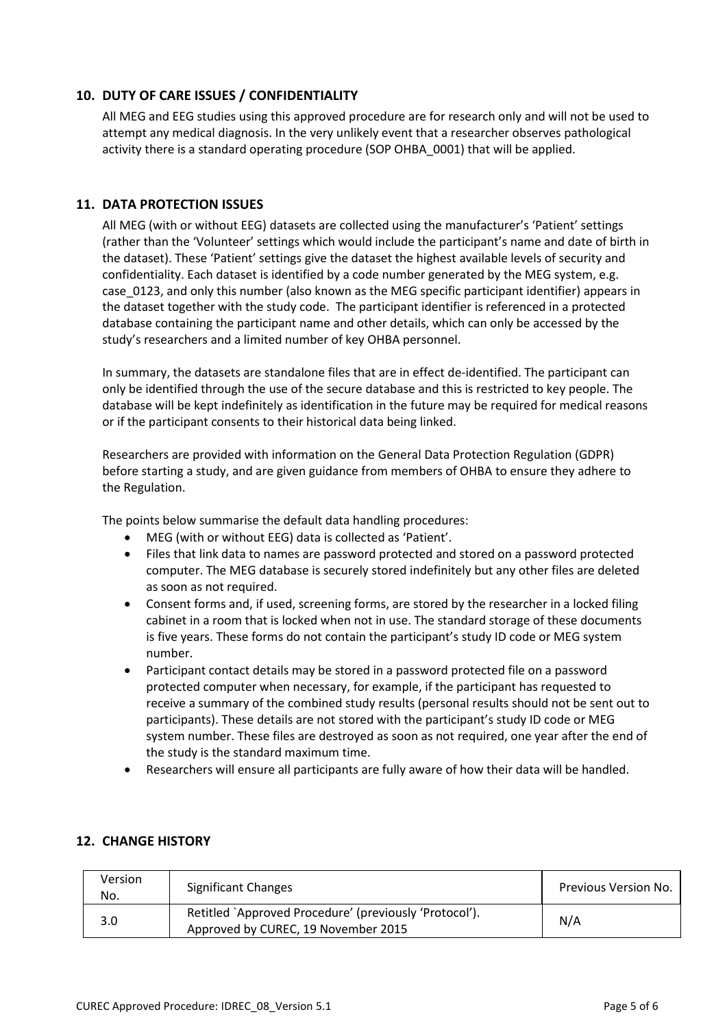# **10. DUTY OF CARE ISSUES / CONFIDENTIALITY**

All MEG and EEG studies using this approved procedure are for research only and will not be used to attempt any medical diagnosis. In the very unlikely event that a researcher observes pathological activity there is a standard operating procedure (SOP OHBA\_0001) that will be applied.

## **11. DATA PROTECTION ISSUES**

All MEG (with or without EEG) datasets are collected using the manufacturer's 'Patient' settings (rather than the 'Volunteer' settings which would include the participant's name and date of birth in the dataset). These 'Patient' settings give the dataset the highest available levels of security and confidentiality. Each dataset is identified by a code number generated by the MEG system, e.g. case\_0123, and only this number (also known as the MEG specific participant identifier) appears in the dataset together with the study code. The participant identifier is referenced in a protected database containing the participant name and other details, which can only be accessed by the study's researchers and a limited number of key OHBA personnel.

In summary, the datasets are standalone files that are in effect de-identified. The participant can only be identified through the use of the secure database and this is restricted to key people. The database will be kept indefinitely as identification in the future may be required for medical reasons or if the participant consents to their historical data being linked.

Researchers are provided with information on the General Data Protection Regulation (GDPR) before starting a study, and are given guidance from members of OHBA to ensure they adhere to the Regulation.

The points below summarise the default data handling procedures:

- MEG (with or without EEG) data is collected as 'Patient'.
- Files that link data to names are password protected and stored on a password protected computer. The MEG database is securely stored indefinitely but any other files are deleted as soon as not required.
- Consent forms and, if used, screening forms, are stored by the researcher in a locked filing cabinet in a room that is locked when not in use. The standard storage of these documents is five years. These forms do not contain the participant's study ID code or MEG system number.
- Participant contact details may be stored in a password protected file on a password protected computer when necessary, for example, if the participant has requested to receive a summary of the combined study results (personal results should not be sent out to participants). These details are not stored with the participant's study ID code or MEG system number. These files are destroyed as soon as not required, one year after the end of the study is the standard maximum time.
- Researchers will ensure all participants are fully aware of how their data will be handled.

# **12. CHANGE HISTORY**

| Version<br>No. | <b>Significant Changes</b>                                                                    | <b>Previous Version No.</b> |
|----------------|-----------------------------------------------------------------------------------------------|-----------------------------|
| 3.0            | Retitled `Approved Procedure' (previously 'Protocol').<br>Approved by CUREC, 19 November 2015 | N/A                         |